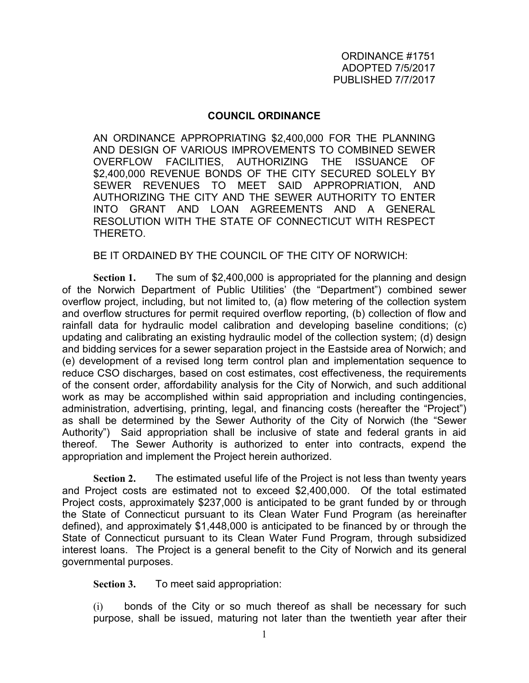## **COUNCIL ORDINANCE**

AN ORDINANCE APPROPRIATING \$2,400,000 FOR THE PLANNING AND DESIGN OF VARIOUS IMPROVEMENTS TO COMBINED SEWER OVERFLOW FACILITIES, AUTHORIZING THE ISSUANCE OF \$2,400,000 REVENUE BONDS OF THE CITY SECURED SOLELY BY SEWER REVENUES TO MEET SAID APPROPRIATION, AND AUTHORIZING THE CITY AND THE SEWER AUTHORITY TO ENTER INTO GRANT AND LOAN AGREEMENTS AND A GENERAL RESOLUTION WITH THE STATE OF CONNECTICUT WITH RESPECT THERETO.

BE IT ORDAINED BY THE COUNCIL OF THE CITY OF NORWICH:

**Section 1.** The sum of \$2,400,000 is appropriated for the planning and design of the Norwich Department of Public Utilities' (the "Department") combined sewer overflow project, including, but not limited to, (a) flow metering of the collection system and overflow structures for permit required overflow reporting, (b) collection of flow and rainfall data for hydraulic model calibration and developing baseline conditions; (c) updating and calibrating an existing hydraulic model of the collection system; (d) design and bidding services for a sewer separation project in the Eastside area of Norwich; and (e) development of a revised long term control plan and implementation sequence to reduce CSO discharges, based on cost estimates, cost effectiveness, the requirements of the consent order, affordability analysis for the City of Norwich, and such additional work as may be accomplished within said appropriation and including contingencies, administration, advertising, printing, legal, and financing costs (hereafter the "Project") as shall be determined by the Sewer Authority of the City of Norwich (the "Sewer Authority") Said appropriation shall be inclusive of state and federal grants in aid thereof. The Sewer Authority is authorized to enter into contracts, expend the appropriation and implement the Project herein authorized.

**Section 2.** The estimated useful life of the Project is not less than twenty years and Project costs are estimated not to exceed \$2,400,000. Of the total estimated Project costs, approximately \$237,000 is anticipated to be grant funded by or through the State of Connecticut pursuant to its Clean Water Fund Program (as hereinafter defined), and approximately \$1,448,000 is anticipated to be financed by or through the State of Connecticut pursuant to its Clean Water Fund Program, through subsidized interest loans. The Project is a general benefit to the City of Norwich and its general governmental purposes.

**Section 3.** To meet said appropriation:

(i) bonds of the City or so much thereof as shall be necessary for such purpose, shall be issued, maturing not later than the twentieth year after their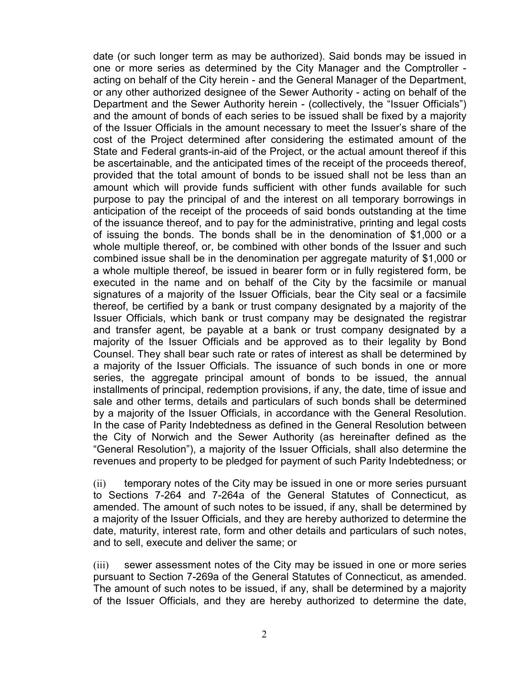date (or such longer term as may be authorized). Said bonds may be issued in one or more series as determined by the City Manager and the Comptroller acting on behalf of the City herein - and the General Manager of the Department, or any other authorized designee of the Sewer Authority - acting on behalf of the Department and the Sewer Authority herein - (collectively, the "Issuer Officials") and the amount of bonds of each series to be issued shall be fixed by a majority of the Issuer Officials in the amount necessary to meet the Issuer's share of the cost of the Project determined after considering the estimated amount of the State and Federal grants-in-aid of the Project, or the actual amount thereof if this be ascertainable, and the anticipated times of the receipt of the proceeds thereof, provided that the total amount of bonds to be issued shall not be less than an amount which will provide funds sufficient with other funds available for such purpose to pay the principal of and the interest on all temporary borrowings in anticipation of the receipt of the proceeds of said bonds outstanding at the time of the issuance thereof, and to pay for the administrative, printing and legal costs of issuing the bonds. The bonds shall be in the denomination of \$1,000 or a whole multiple thereof, or, be combined with other bonds of the Issuer and such combined issue shall be in the denomination per aggregate maturity of \$1,000 or a whole multiple thereof, be issued in bearer form or in fully registered form, be executed in the name and on behalf of the City by the facsimile or manual signatures of a majority of the Issuer Officials, bear the City seal or a facsimile thereof, be certified by a bank or trust company designated by a majority of the Issuer Officials, which bank or trust company may be designated the registrar and transfer agent, be payable at a bank or trust company designated by a majority of the Issuer Officials and be approved as to their legality by Bond Counsel. They shall bear such rate or rates of interest as shall be determined by a majority of the Issuer Officials. The issuance of such bonds in one or more series, the aggregate principal amount of bonds to be issued, the annual installments of principal, redemption provisions, if any, the date, time of issue and sale and other terms, details and particulars of such bonds shall be determined by a majority of the Issuer Officials, in accordance with the General Resolution. In the case of Parity Indebtedness as defined in the General Resolution between the City of Norwich and the Sewer Authority (as hereinafter defined as the "General Resolution"), a majority of the Issuer Officials, shall also determine the revenues and property to be pledged for payment of such Parity Indebtedness; or

(ii) temporary notes of the City may be issued in one or more series pursuant to Sections 7-264 and 7-264a of the General Statutes of Connecticut, as amended. The amount of such notes to be issued, if any, shall be determined by a majority of the Issuer Officials, and they are hereby authorized to determine the date, maturity, interest rate, form and other details and particulars of such notes, and to sell, execute and deliver the same; or

(iii) sewer assessment notes of the City may be issued in one or more series pursuant to Section 7-269a of the General Statutes of Connecticut, as amended. The amount of such notes to be issued, if any, shall be determined by a majority of the Issuer Officials, and they are hereby authorized to determine the date,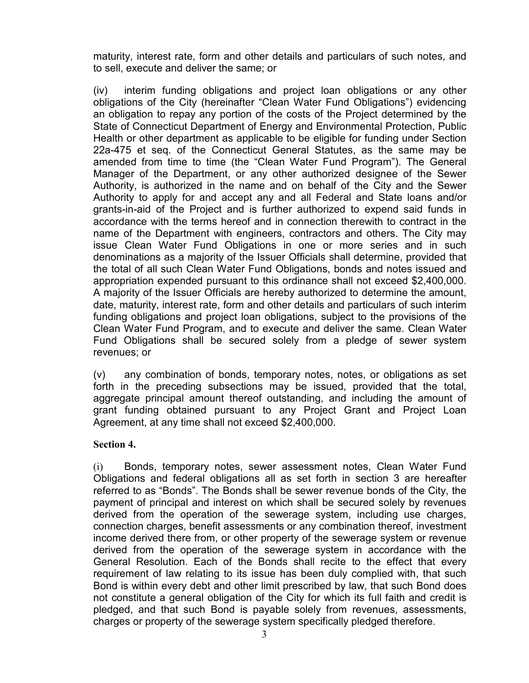maturity, interest rate, form and other details and particulars of such notes, and to sell, execute and deliver the same; or

(iv) interim funding obligations and project loan obligations or any other obligations of the City (hereinafter "Clean Water Fund Obligations") evidencing an obligation to repay any portion of the costs of the Project determined by the State of Connecticut Department of Energy and Environmental Protection, Public Health or other department as applicable to be eligible for funding under Section 22a-475 et seq. of the Connecticut General Statutes, as the same may be amended from time to time (the "Clean Water Fund Program"). The General Manager of the Department, or any other authorized designee of the Sewer Authority, is authorized in the name and on behalf of the City and the Sewer Authority to apply for and accept any and all Federal and State loans and/or grants-in-aid of the Project and is further authorized to expend said funds in accordance with the terms hereof and in connection therewith to contract in the name of the Department with engineers, contractors and others. The City may issue Clean Water Fund Obligations in one or more series and in such denominations as a majority of the Issuer Officials shall determine, provided that the total of all such Clean Water Fund Obligations, bonds and notes issued and appropriation expended pursuant to this ordinance shall not exceed \$2,400,000. A majority of the Issuer Officials are hereby authorized to determine the amount, date, maturity, interest rate, form and other details and particulars of such interim funding obligations and project loan obligations, subject to the provisions of the Clean Water Fund Program, and to execute and deliver the same. Clean Water Fund Obligations shall be secured solely from a pledge of sewer system revenues; or

(v) any combination of bonds, temporary notes, notes, or obligations as set forth in the preceding subsections may be issued, provided that the total, aggregate principal amount thereof outstanding, and including the amount of grant funding obtained pursuant to any Project Grant and Project Loan Agreement, at any time shall not exceed \$2,400,000.

## **Section 4.**

(i) Bonds, temporary notes, sewer assessment notes, Clean Water Fund Obligations and federal obligations all as set forth in section 3 are hereafter referred to as "Bonds". The Bonds shall be sewer revenue bonds of the City, the payment of principal and interest on which shall be secured solely by revenues derived from the operation of the sewerage system, including use charges, connection charges, benefit assessments or any combination thereof, investment income derived there from, or other property of the sewerage system or revenue derived from the operation of the sewerage system in accordance with the General Resolution. Each of the Bonds shall recite to the effect that every requirement of law relating to its issue has been duly complied with, that such Bond is within every debt and other limit prescribed by law, that such Bond does not constitute a general obligation of the City for which its full faith and credit is pledged, and that such Bond is payable solely from revenues, assessments, charges or property of the sewerage system specifically pledged therefore.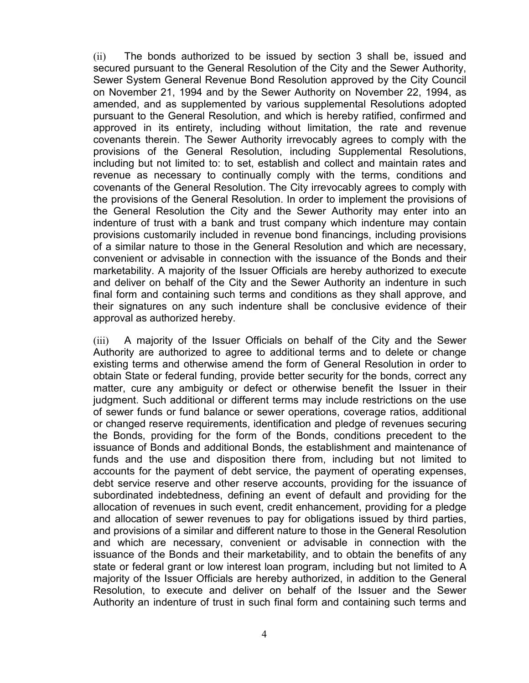(ii) The bonds authorized to be issued by section 3 shall be, issued and secured pursuant to the General Resolution of the City and the Sewer Authority, Sewer System General Revenue Bond Resolution approved by the City Council on November 21, 1994 and by the Sewer Authority on November 22, 1994, as amended, and as supplemented by various supplemental Resolutions adopted pursuant to the General Resolution, and which is hereby ratified, confirmed and approved in its entirety, including without limitation, the rate and revenue covenants therein. The Sewer Authority irrevocably agrees to comply with the provisions of the General Resolution, including Supplemental Resolutions, including but not limited to: to set, establish and collect and maintain rates and revenue as necessary to continually comply with the terms, conditions and covenants of the General Resolution. The City irrevocably agrees to comply with the provisions of the General Resolution. In order to implement the provisions of the General Resolution the City and the Sewer Authority may enter into an indenture of trust with a bank and trust company which indenture may contain provisions customarily included in revenue bond financings, including provisions of a similar nature to those in the General Resolution and which are necessary, convenient or advisable in connection with the issuance of the Bonds and their marketability. A majority of the Issuer Officials are hereby authorized to execute and deliver on behalf of the City and the Sewer Authority an indenture in such final form and containing such terms and conditions as they shall approve, and their signatures on any such indenture shall be conclusive evidence of their approval as authorized hereby.

(iii) A majority of the Issuer Officials on behalf of the City and the Sewer Authority are authorized to agree to additional terms and to delete or change existing terms and otherwise amend the form of General Resolution in order to obtain State or federal funding, provide better security for the bonds, correct any matter, cure any ambiguity or defect or otherwise benefit the Issuer in their judgment. Such additional or different terms may include restrictions on the use of sewer funds or fund balance or sewer operations, coverage ratios, additional or changed reserve requirements, identification and pledge of revenues securing the Bonds, providing for the form of the Bonds, conditions precedent to the issuance of Bonds and additional Bonds, the establishment and maintenance of funds and the use and disposition there from, including but not limited to accounts for the payment of debt service, the payment of operating expenses, debt service reserve and other reserve accounts, providing for the issuance of subordinated indebtedness, defining an event of default and providing for the allocation of revenues in such event, credit enhancement, providing for a pledge and allocation of sewer revenues to pay for obligations issued by third parties, and provisions of a similar and different nature to those in the General Resolution and which are necessary, convenient or advisable in connection with the issuance of the Bonds and their marketability, and to obtain the benefits of any state or federal grant or low interest loan program, including but not limited to A majority of the Issuer Officials are hereby authorized, in addition to the General Resolution, to execute and deliver on behalf of the Issuer and the Sewer Authority an indenture of trust in such final form and containing such terms and